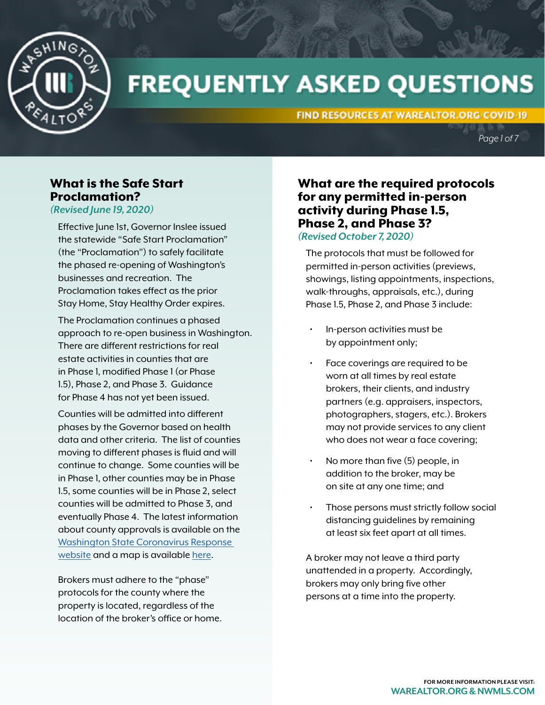

# **FREQUENTLY ASKED QUESTIONS**

FIND RESOURCES AT WAREALTOR.ORG/COVID-19

*Page 1 of 7*

# What is the Safe Start Proclamation?

*(Revised June 19, 2020)* 

Effective June 1st, Governor Inslee issued the statewide "Safe Start Proclamation" (the "Proclamation") to safely facilitate the phased re-opening of Washington's businesses and recreation. The Proclamation takes effect as the prior Stay Home, Stay Healthy Order expires.

The Proclamation continues a phased approach to re-open business in Washington. There are different restrictions for real estate activities in counties that are in Phase 1, modified Phase 1 (or Phase 1.5), Phase 2, and Phase 3. Guidance for Phase 4 has not yet been issued.

Counties will be admitted into different phases by the Governor based on health data and other criteria. The list of counties moving to different phases is fluid and will continue to change. Some counties will be in Phase 1, other counties may be in Phase 1.5, some counties will be in Phase 2, select counties will be admitted to Phase 3, and eventually Phase 4. The latest information about county approvals is available on the [Washington State Coronavirus Response](https://coronavirus.wa.gov/what-you-need-know/covid-19-county-variance-application-process)  [website](https://coronavirus.wa.gov/what-you-need-know/covid-19-county-variance-application-process) and a map is available [here](https://coronavirus.wa.gov/what-you-need-know/covid-19-risk-assessment-dashboard).

Brokers must adhere to the "phase" protocols for the county where the property is located, regardless of the location of the broker's office or home.

#### What are the required protocols for any permitted in-person activity during Phase 1.5, Phase 2, and Phase 3? *(Revised October 7, 2020)*

The protocols that must be followed for permitted in-person activities (previews, showings, listing appointments, inspections, walk-throughs, appraisals, etc.), during Phase 1.5, Phase 2, and Phase 3 include:

- In-person activities must be by appointment only;
- Face coverings are required to be worn at all times by real estate brokers, their clients, and industry partners (e.g. appraisers, inspectors, photographers, stagers, etc.). Brokers may not provide services to any client who does not wear a face covering;
- No more than five (5) people, in addition to the broker, may be on site at any one time; and
- Those persons must strictly follow social distancing guidelines by remaining at least six feet apart at all times.

A broker may not leave a third party unattended in a property. Accordingly, brokers may only bring five other persons at a time into the property.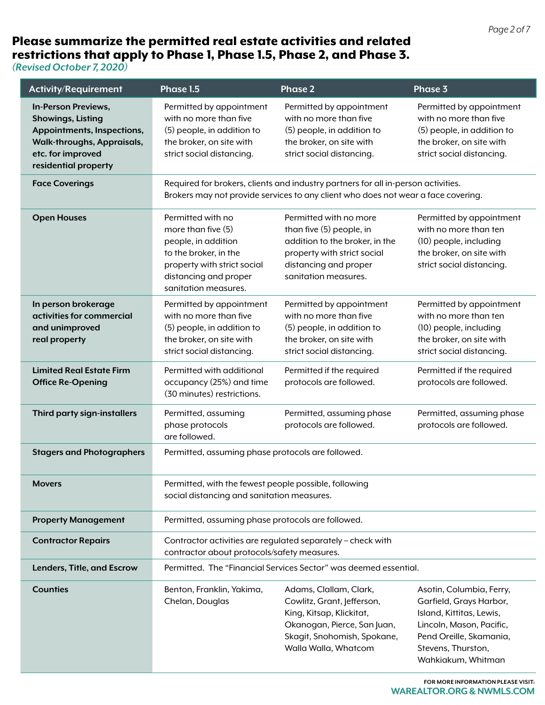# Please summarize the permitted real estate activities and related restrictions that apply to Phase 1, Phase 1.5, Phase 2, and Phase 3.

*(Revised October 7, 2020)* 

| <b>Activity/Requirement</b>                                                                                                                                     | Phase 1.5                                                                                                                                                                 | <b>Phase 2</b>                                                                                                                                                         | Phase 3                                                                                                                                                                            |
|-----------------------------------------------------------------------------------------------------------------------------------------------------------------|---------------------------------------------------------------------------------------------------------------------------------------------------------------------------|------------------------------------------------------------------------------------------------------------------------------------------------------------------------|------------------------------------------------------------------------------------------------------------------------------------------------------------------------------------|
| In-Person Previews,<br><b>Showings, Listing</b><br>Appointments, Inspections,<br><b>Walk-throughs, Appraisals,</b><br>etc. for improved<br>residential property | Permitted by appointment<br>with no more than five<br>(5) people, in addition to<br>the broker, on site with<br>strict social distancing.                                 | Permitted by appointment<br>with no more than five<br>(5) people, in addition to<br>the broker, on site with<br>strict social distancing.                              | Permitted by appointment<br>with no more than five<br>(5) people, in addition to<br>the broker, on site with<br>strict social distancing.                                          |
| <b>Face Coverings</b>                                                                                                                                           | Required for brokers, clients and industry partners for all in-person activities.<br>Brokers may not provide services to any client who does not wear a face covering.    |                                                                                                                                                                        |                                                                                                                                                                                    |
| <b>Open Houses</b>                                                                                                                                              | Permitted with no<br>more than five $(5)$<br>people, in addition<br>to the broker, in the<br>property with strict social<br>distancing and proper<br>sanitation measures. | Permitted with no more<br>than five (5) people, in<br>addition to the broker, in the<br>property with strict social<br>distancing and proper<br>sanitation measures.   | Permitted by appointment<br>with no more than ten<br>(10) people, including<br>the broker, on site with<br>strict social distancing.                                               |
| In person brokerage<br>activities for commercial<br>and unimproved<br>real property                                                                             | Permitted by appointment<br>with no more than five<br>(5) people, in addition to<br>the broker, on site with<br>strict social distancing.                                 | Permitted by appointment<br>with no more than five<br>(5) people, in addition to<br>the broker, on site with<br>strict social distancing.                              | Permitted by appointment<br>with no more than ten<br>(10) people, including<br>the broker, on site with<br>strict social distancing.                                               |
| <b>Limited Real Estate Firm</b><br><b>Office Re-Opening</b>                                                                                                     | Permitted with additional<br>occupancy (25%) and time<br>(30 minutes) restrictions.                                                                                       | Permitted if the required<br>protocols are followed.                                                                                                                   | Permitted if the required<br>protocols are followed.                                                                                                                               |
| Third party sign-installers                                                                                                                                     | Permitted, assuming<br>phase protocols<br>are followed.                                                                                                                   | Permitted, assuming phase<br>protocols are followed.                                                                                                                   | Permitted, assuming phase<br>protocols are followed.                                                                                                                               |
| <b>Stagers and Photographers</b>                                                                                                                                | Permitted, assuming phase protocols are followed.                                                                                                                         |                                                                                                                                                                        |                                                                                                                                                                                    |
| <b>Movers</b>                                                                                                                                                   | Permitted, with the fewest people possible, following<br>social distancing and sanitation measures.                                                                       |                                                                                                                                                                        |                                                                                                                                                                                    |
| <b>Property Management</b>                                                                                                                                      | Permitted, assuming phase protocols are followed.                                                                                                                         |                                                                                                                                                                        |                                                                                                                                                                                    |
| <b>Contractor Repairs</b>                                                                                                                                       | Contractor activities are regulated separately - check with<br>contractor about protocols/safety measures.                                                                |                                                                                                                                                                        |                                                                                                                                                                                    |
| Lenders, Title, and Escrow                                                                                                                                      | Permitted. The "Financial Services Sector" was deemed essential.                                                                                                          |                                                                                                                                                                        |                                                                                                                                                                                    |
| <b>Counties</b>                                                                                                                                                 | Benton, Franklin, Yakima,<br>Chelan, Douglas                                                                                                                              | Adams, Clallam, Clark,<br>Cowlitz, Grant, Jefferson,<br>King, Kitsap, Klickitat,<br>Okanogan, Pierce, San Juan,<br>Skagit, Snohomish, Spokane,<br>Walla Walla, Whatcom | Asotin, Columbia, Ferry,<br>Garfield, Grays Harbor,<br>Island, Kittitas, Lewis,<br>Lincoln, Mason, Pacific,<br>Pend Oreille, Skamania,<br>Stevens, Thurston,<br>Wahkiakum, Whitman |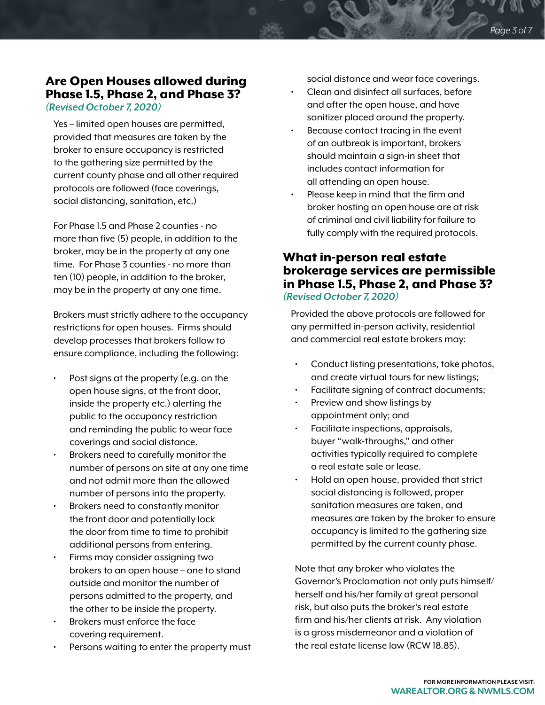# Are Open Houses allowed during Phase 1.5, Phase 2, and Phase 3?

*(Revised October 7, 2020)*

Yes – limited open houses are permitted, provided that measures are taken by the broker to ensure occupancy is restricted to the gathering size permitted by the current county phase and all other required protocols are followed (face coverings, social distancing, sanitation, etc.)

For Phase 1.5 and Phase 2 counties - no more than five (5) people, in addition to the broker, may be in the property at any one time. For Phase 3 counties - no more than ten (10) people, in addition to the broker, may be in the property at any one time.

Brokers must strictly adhere to the occupancy restrictions for open houses. Firms should develop processes that brokers follow to ensure compliance, including the following:

- Post signs at the property (e.g. on the open house signs, at the front door, inside the property etc.) alerting the public to the occupancy restriction and reminding the public to wear face coverings and social distance.
- Brokers need to carefully monitor the number of persons on site at any one time and not admit more than the allowed number of persons into the property.
- Brokers need to constantly monitor the front door and potentially lock the door from time to time to prohibit additional persons from entering.
- Firms may consider assigning two brokers to an open house – one to stand outside and monitor the number of persons admitted to the property, and the other to be inside the property.
- Brokers must enforce the face covering requirement.
- Persons waiting to enter the property must

social distance and wear face coverings.

- Clean and disinfect all surfaces, before and after the open house, and have sanitizer placed around the property.
- Because contact tracing in the event of an outbreak is important, brokers should maintain a sign-in sheet that includes contact information for all attending an open house.
- Please keep in mind that the firm and broker hosting an open house are at risk of criminal and civil liability for failure to fully comply with the required protocols.

#### What in-person real estate brokerage services are permissible in Phase 1.5, Phase 2, and Phase 3? *(Revised October 7, 2020)*

Provided the above protocols are followed for any permitted in-person activity, residential and commercial real estate brokers may:

- Conduct listing presentations, take photos, and create virtual tours for new listings;
- Facilitate signing of contract documents;
- Preview and show listings by appointment only; and
- Facilitate inspections, appraisals, buyer "walk-throughs," and other activities typically required to complete a real estate sale or lease.
- Hold an open house, provided that strict social distancing is followed, proper sanitation measures are taken, and measures are taken by the broker to ensure occupancy is limited to the gathering size permitted by the current county phase.

Note that any broker who violates the Governor's Proclamation not only puts himself/ herself and his/her family at great personal risk, but also puts the broker's real estate firm and his/her clients at risk. Any violation is a gross misdemeanor and a violation of the real estate license law (RCW 18.85).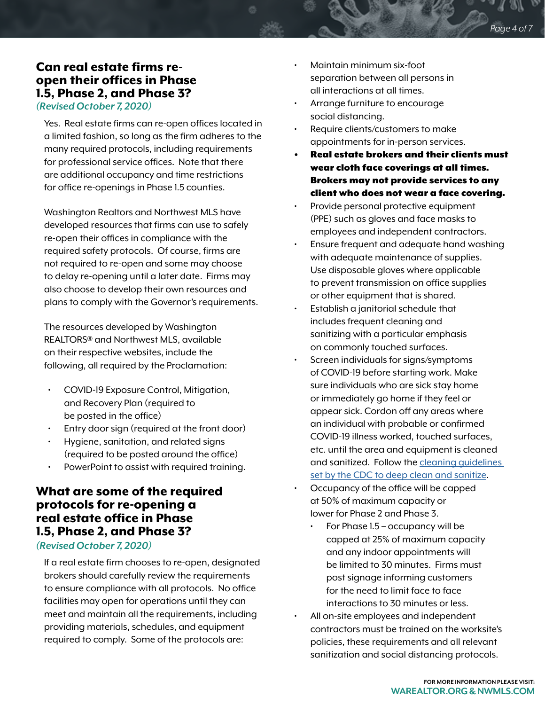## Can real estate firms reopen their offices in Phase 1.5, Phase 2, and Phase 3?

*(Revised October 7, 2020)*

Yes. Real estate firms can re-open offices located in a limited fashion, so long as the firm adheres to the many required protocols, including requirements for professional service offices. Note that there are additional occupancy and time restrictions for office re-openings in Phase 1.5 counties.

Washington Realtors and Northwest MLS have developed resources that firms can use to safely re-open their offices in compliance with the required safety protocols. Of course, firms are not required to re-open and some may choose to delay re-opening until a later date. Firms may also choose to develop their own resources and plans to comply with the Governor's requirements.

The resources developed by Washington REALTORS® and Northwest MLS, available on their respective websites, include the following, all required by the Proclamation:

- COVID-19 Exposure Control, Mitigation, and Recovery Plan (required to be posted in the office)
- Entry door sign (required at the front door)
- Hygiene, sanitation, and related signs (required to be posted around the office)
- PowerPoint to assist with required training.

# What are some of the required protocols for re-opening a real estate office in Phase 1.5, Phase 2, and Phase 3?

#### *(Revised October 7, 2020)*

If a real estate firm chooses to re-open, designated brokers should carefully review the requirements to ensure compliance with all protocols. No office facilities may open for operations until they can meet and maintain all the requirements, including providing materials, schedules, and equipment required to comply. Some of the protocols are:

- Maintain minimum six-foot separation between all persons in all interactions at all times.
- Arrange furniture to encourage social distancing.
- Require clients/customers to make appointments for in-person services.
- Real estate brokers and their clients must wear cloth face coverings at all times. Brokers may not provide services to any client who does not wear a face covering.
- Provide personal protective equipment (PPE) such as gloves and face masks to employees and independent contractors.
- Ensure frequent and adequate hand washing with adequate maintenance of supplies. Use disposable gloves where applicable to prevent transmission on office supplies or other equipment that is shared.
- Establish a janitorial schedule that includes frequent cleaning and sanitizing with a particular emphasis on commonly touched surfaces.
- Screen individuals for signs/symptoms of COVID-19 before starting work. Make sure individuals who are sick stay home or immediately go home if they feel or appear sick. Cordon off any areas where an individual with probable or confirmed COVID-19 illness worked, touched surfaces, etc. until the area and equipment is cleaned and sanitized. Follow the [cleaning guidelines](https://www.cdc.gov/coronavirus/2019-ncov/community/disinfecting-building-facility.html)  [set by the CDC to deep clean and sanitize.](https://www.cdc.gov/coronavirus/2019-ncov/community/disinfecting-building-facility.html)
	- Occupancy of the office will be capped at 50% of maximum capacity or lower for Phase 2 and Phase 3.
		- For Phase 1.5 occupancy will be capped at 25% of maximum capacity and any indoor appointments will be limited to 30 minutes. Firms must post signage informing customers for the need to limit face to face interactions to 30 minutes or less.
- All on-site employees and independent contractors must be trained on the worksite's policies, these requirements and all relevant sanitization and social distancing protocols.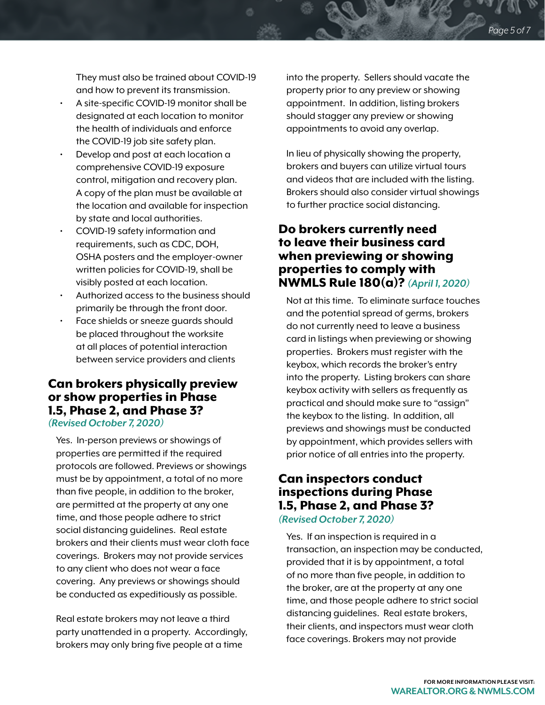They must also be trained about COVID-19 and how to prevent its transmission.

- A site-specific COVID-19 monitor shall be designated at each location to monitor the health of individuals and enforce the COVID-19 job site safety plan.
- Develop and post at each location a comprehensive COVID-19 exposure control, mitigation and recovery plan. A copy of the plan must be available at the location and available for inspection by state and local authorities.
- COVID-19 safety information and requirements, such as CDC, DOH, OSHA posters and the employer-owner written policies for COVID-19, shall be visibly posted at each location.
- Authorized access to the business should primarily be through the front door.
- Face shields or sneeze guards should be placed throughout the worksite at all places of potential interaction between service providers and clients

#### Can brokers physically preview or show properties in Phase 1.5, Phase 2, and Phase 3? *(Revised October 7, 2020)*

Yes. In-person previews or showings of properties are permitted if the required protocols are followed. Previews or showings must be by appointment, a total of no more than five people, in addition to the broker, are permitted at the property at any one time, and those people adhere to strict social distancing guidelines. Real estate brokers and their clients must wear cloth face coverings. Brokers may not provide services to any client who does not wear a face covering. Any previews or showings should be conducted as expeditiously as possible.

Real estate brokers may not leave a third party unattended in a property. Accordingly, brokers may only bring five people at a time

into the property. Sellers should vacate the property prior to any preview or showing appointment. In addition, listing brokers should stagger any preview or showing appointments to avoid any overlap.

In lieu of physically showing the property, brokers and buyers can utilize virtual tours and videos that are included with the listing. Brokers should also consider virtual showings to further practice social distancing.

### Do brokers currently need to leave their business card when previewing or showing properties to comply with NWMLS Rule 180(a)? *(April 1, 2020)*

Not at this time. To eliminate surface touches and the potential spread of germs, brokers do not currently need to leave a business card in listings when previewing or showing properties. Brokers must register with the keybox, which records the broker's entry into the property. Listing brokers can share keybox activity with sellers as frequently as practical and should make sure to "assign" the keybox to the listing. In addition, all previews and showings must be conducted by appointment, which provides sellers with prior notice of all entries into the property.

# Can inspectors conduct inspections during Phase 1.5, Phase 2, and Phase 3?

#### *(Revised October 7, 2020)*

Yes. If an inspection is required in a transaction, an inspection may be conducted, provided that it is by appointment, a total of no more than five people, in addition to the broker, are at the property at any one time, and those people adhere to strict social distancing guidelines. Real estate brokers, their clients, and inspectors must wear cloth face coverings. Brokers may not provide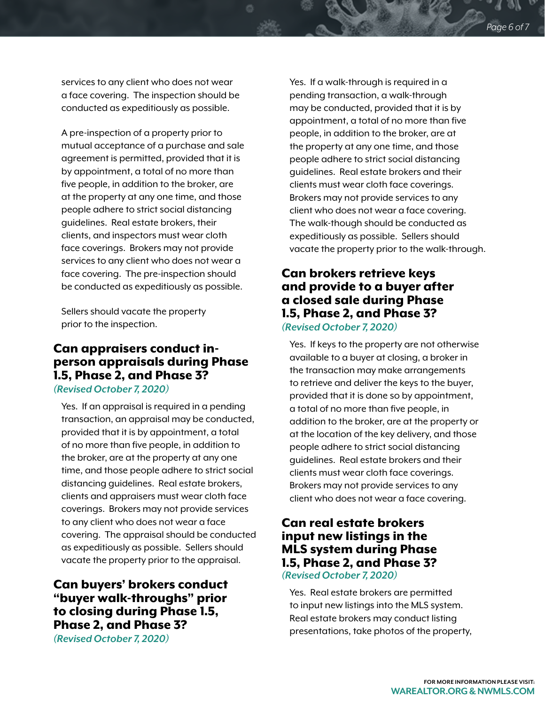services to any client who does not wear a face covering. The inspection should be conducted as expeditiously as possible.

A pre-inspection of a property prior to mutual acceptance of a purchase and sale agreement is permitted, provided that it is by appointment, a total of no more than five people, in addition to the broker, are at the property at any one time, and those people adhere to strict social distancing guidelines. Real estate brokers, their clients, and inspectors must wear cloth face coverings. Brokers may not provide services to any client who does not wear a face covering. The pre-inspection should be conducted as expeditiously as possible.

Sellers should vacate the property prior to the inspection.

### Can appraisers conduct inperson appraisals during Phase 1.5, Phase 2, and Phase 3?

*(Revised October 7, 2020)*

Yes. If an appraisal is required in a pending transaction, an appraisal may be conducted, provided that it is by appointment, a total of no more than five people, in addition to the broker, are at the property at any one time, and those people adhere to strict social distancing guidelines. Real estate brokers, clients and appraisers must wear cloth face coverings. Brokers may not provide services to any client who does not wear a face covering. The appraisal should be conducted as expeditiously as possible. Sellers should vacate the property prior to the appraisal.

Can buyers' brokers conduct "buyer walk-throughs" prior to closing during Phase 1.5, Phase 2, and Phase 3?

*(Revised October 7, 2020)*

Yes. If a walk-through is required in a pending transaction, a walk-through may be conducted, provided that it is by appointment, a total of no more than five people, in addition to the broker, are at the property at any one time, and those people adhere to strict social distancing guidelines. Real estate brokers and their clients must wear cloth face coverings. Brokers may not provide services to any client who does not wear a face covering. The walk-though should be conducted as expeditiously as possible. Sellers should vacate the property prior to the walk-through.

# Can brokers retrieve keys and provide to a buyer after a closed sale during Phase 1.5, Phase 2, and Phase 3?

*(Revised October 7, 2020)*

Yes. If keys to the property are not otherwise available to a buyer at closing, a broker in the transaction may make arrangements to retrieve and deliver the keys to the buyer, provided that it is done so by appointment, a total of no more than five people, in addition to the broker, are at the property or at the location of the key delivery, and those people adhere to strict social distancing guidelines. Real estate brokers and their clients must wear cloth face coverings. Brokers may not provide services to any client who does not wear a face covering.

# Can real estate brokers input new listings in the MLS system during Phase 1.5, Phase 2, and Phase 3?

*(Revised October 7, 2020)*

Yes. Real estate brokers are permitted to input new listings into the MLS system. Real estate brokers may conduct listing presentations, take photos of the property,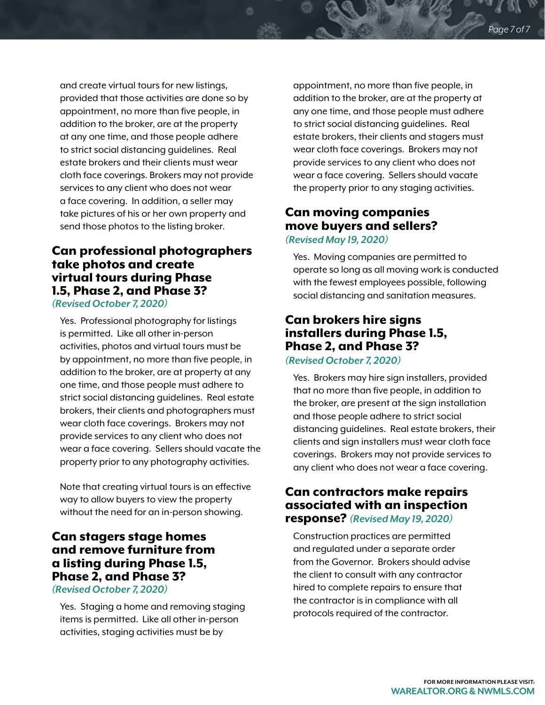and create virtual tours for new listings, provided that those activities are done so by appointment, no more than five people, in addition to the broker, are at the property at any one time, and those people adhere to strict social distancing guidelines. Real estate brokers and their clients must wear cloth face coverings. Brokers may not provide services to any client who does not wear a face covering. In addition, a seller may take pictures of his or her own property and send those photos to the listing broker.

#### Can professional photographers take photos and create virtual tours during Phase 1.5, Phase 2, and Phase 3? *(Revised October 7, 2020)*

Yes. Professional photography for listings is permitted. Like all other in-person activities, photos and virtual tours must be by appointment, no more than five people, in addition to the broker, are at property at any one time, and those people must adhere to strict social distancing guidelines. Real estate brokers, their clients and photographers must wear cloth face coverings. Brokers may not provide services to any client who does not wear a face covering. Sellers should vacate the property prior to any photography activities.

Note that creating virtual tours is an effective way to allow buyers to view the property without the need for an in-person showing.

# Can stagers stage homes and remove furniture from a listing during Phase 1.5, Phase 2, and Phase 3?

*(Revised October 7, 2020)*

Yes. Staging a home and removing staging items is permitted. Like all other in-person activities, staging activities must be by

appointment, no more than five people, in addition to the broker, are at the property at any one time, and those people must adhere to strict social distancing guidelines. Real estate brokers, their clients and stagers must wear cloth face coverings. Brokers may not provide services to any client who does not wear a face covering. Sellers should vacate the property prior to any staging activities.

# Can moving companies move buyers and sellers?

*(Revised May 19, 2020)*

Yes. Moving companies are permitted to operate so long as all moving work is conducted with the fewest employees possible, following social distancing and sanitation measures.

# Can brokers hire signs installers during Phase 1.5, Phase 2, and Phase 3?

#### *(Revised October 7, 2020)*

Yes. Brokers may hire sign installers, provided that no more than five people, in addition to the broker, are present at the sign installation and those people adhere to strict social distancing guidelines. Real estate brokers, their clients and sign installers must wear cloth face coverings. Brokers may not provide services to any client who does not wear a face covering.

#### Can contractors make repairs associated with an inspection response? *(Revised May 19, 2020)*

Construction practices are permitted and regulated under a separate order from the Governor. Brokers should advise the client to consult with any contractor hired to complete repairs to ensure that the contractor is in compliance with all protocols required of the contractor.